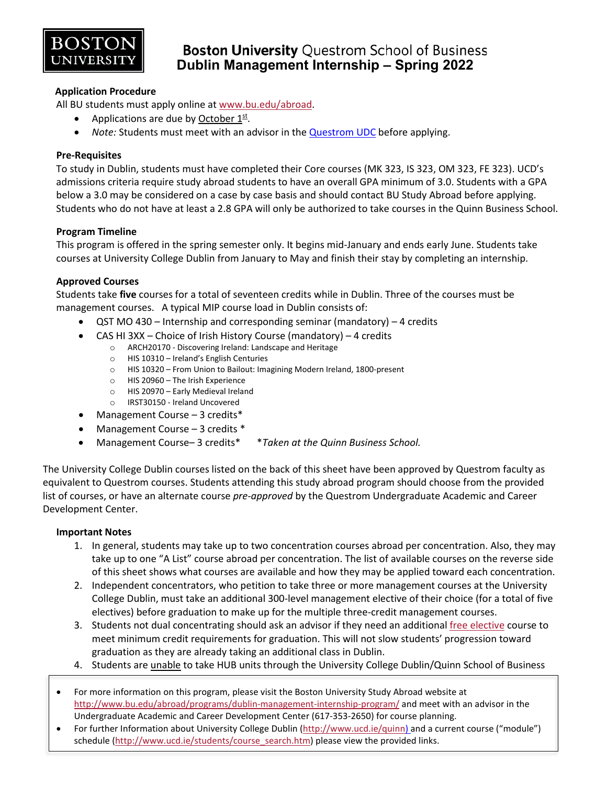

## **Boston University Questrom School of Business Dublin Management Internship – Spring 2022**

### **Application Procedure**

All BU students must apply online at [www.bu.edu/abroad.](http://www.bu.edu/abroad)

- Applications are due by October  $1<sup>st</sup>$ .
- *Note:* Students must meet with an advisor in the [Questrom UDC](http://questromworld.bu.edu/studyabroad/advising/) before applying.

### **Pre-Requisites**

To study in Dublin, students must have completed their Core courses (MK 323, IS 323, OM 323, FE 323). UCD's admissions criteria require study abroad students to have an overall GPA minimum of 3.0. Students with a GPA below a 3.0 may be considered on a case by case basis and should contact BU Study Abroad before applying. Students who do not have at least a 2.8 GPA will only be authorized to take courses in the Quinn Business School.

#### **Program Timeline**

This program is offered in the spring semester only. It begins mid-January and ends early June. Students take courses at University College Dublin from January to May and finish their stay by completing an internship.

#### **Approved Courses**

Students take **five** courses for a total of seventeen credits while in Dublin. Three of the courses must be management courses. A typical MIP course load in Dublin consists of:

- QST MO 430 Internship and corresponding seminar (mandatory) 4 credits
- CAS HI 3XX Choice of Irish History Course (mandatory) 4 credits
	- o ARCH20170 Discovering Ireland: Landscape and Heritage
	- o HIS 10310 Ireland's English Centuries
	- o HIS 10320 From Union to Bailout: Imagining Modern Ireland, 1800-present
	- o HIS 20960 The Irish Experience
	- o HIS 20970 Early Medieval Ireland
	- o IRST30150 Ireland Uncovered
- Management Course 3 credits\*
- Management Course 3 credits \*
- Management Course– 3 credits\* \**Taken at the Quinn Business School.*

The University College Dublin courses listed on the back of this sheet have been approved by Questrom faculty as equivalent to Questrom courses. Students attending this study abroad program should choose from the provided list of courses, or have an alternate course *pre-approved* by the Questrom Undergraduate Academic and Career Development Center.

#### **Important Notes**

- 1. In general, students may take up to two concentration courses abroad per concentration. Also, they may take up to one "A List" course abroad per concentration. The list of available courses on the reverse side of this sheet shows what courses are available and how they may be applied toward each concentration.
- 2. Independent concentrators, who petition to take three or more management courses at the University College Dublin, must take an additional 300-level management elective of their choice (for a total of five electives) before graduation to make up for the multiple three-credit management courses.
- 3. Students not dual concentrating should ask an advisor if they need an additiona[l free elective](http://smgworld.bu.edu/upo/academics/electives/#free) course to meet minimum credit requirements for graduation. This will not slow students' progression toward graduation as they are already taking an additional class in Dublin.
- 4. Students are unable to take HUB units through the University College Dublin/Quinn School of Business
- For more information on this program, please visit the Boston University Study Abroad website at <http://www.bu.edu/abroad/programs/dublin-management-internship-program/> and meet with an advisor in the Undergraduate Academic and Career Development Center (617-353-2650) for course planning.
- For further Information about University College Dublin [\(http://www.ucd.ie/quinn\)](http://www.ucd.ie/quinn) and a current course ("module") schedule [\(http://www.ucd.ie/students/course\\_search.htm\)](http://www.ucd.ie/students/course_search.htm) please view the provided links.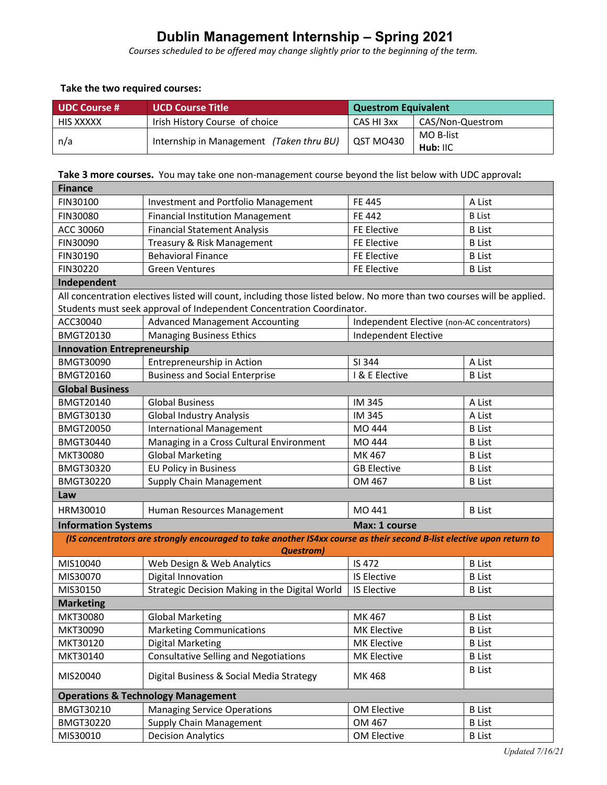# **Dublin Management Internship – Spring 2021**

*Courses scheduled to be offered may change slightly prior to the beginning of the term.*

#### **Take the two required courses:**

| UDC Course # | UCD Course Title                         | <b>Questrom Equivalent</b> |                  |
|--------------|------------------------------------------|----------------------------|------------------|
| HIS XXXXX    | Irish History Course of choice           | CAS HI 3xx                 | CAS/Non-Questrom |
| n/a          | Internship in Management (Taken thru BU) | QST MO430                  | MO B-list        |
|              |                                          |                            | Hub: IIC         |

**Take 3 more courses.** You may take one non-management course beyond the list below with UDC approval**:**

| <b>Finance</b>                                |                                                                                                                        |                                             |               |  |  |
|-----------------------------------------------|------------------------------------------------------------------------------------------------------------------------|---------------------------------------------|---------------|--|--|
| FIN30100                                      | Investment and Portfolio Management                                                                                    | <b>FE 445</b>                               | A List        |  |  |
| <b>FIN30080</b>                               | <b>Financial Institution Management</b>                                                                                | FE 442                                      | <b>B</b> List |  |  |
| ACC 30060                                     | <b>Financial Statement Analysis</b>                                                                                    | FE Elective                                 | <b>B</b> List |  |  |
| FIN30090                                      | Treasury & Risk Management                                                                                             | <b>FE Elective</b>                          | <b>B</b> List |  |  |
| FIN30190                                      | <b>Behavioral Finance</b>                                                                                              | <b>FE Elective</b>                          | <b>B</b> List |  |  |
| FIN30220                                      | <b>Green Ventures</b>                                                                                                  | FE Elective                                 | <b>B</b> List |  |  |
| Independent                                   |                                                                                                                        |                                             |               |  |  |
|                                               | All concentration electives listed will count, including those listed below. No more than two courses will be applied. |                                             |               |  |  |
|                                               | Students must seek approval of Independent Concentration Coordinator.                                                  |                                             |               |  |  |
| ACC30040                                      | <b>Advanced Management Accounting</b>                                                                                  | Independent Elective (non-AC concentrators) |               |  |  |
| <b>BMGT20130</b>                              | <b>Managing Business Ethics</b>                                                                                        | Independent Elective                        |               |  |  |
| <b>Innovation Entrepreneurship</b>            |                                                                                                                        |                                             |               |  |  |
| <b>BMGT30090</b>                              | Entrepreneurship in Action                                                                                             | SI 344                                      | A List        |  |  |
| <b>BMGT20160</b>                              | <b>Business and Social Enterprise</b>                                                                                  | I & E Elective                              | <b>B</b> List |  |  |
| <b>Global Business</b>                        |                                                                                                                        |                                             |               |  |  |
| <b>BMGT20140</b>                              | <b>Global Business</b>                                                                                                 | IM 345                                      | A List        |  |  |
| <b>BMGT30130</b>                              | <b>Global Industry Analysis</b>                                                                                        | IM 345                                      | A List        |  |  |
| <b>BMGT20050</b>                              | <b>International Management</b>                                                                                        | MO 444                                      | <b>B</b> List |  |  |
| <b>BMGT30440</b>                              | Managing in a Cross Cultural Environment                                                                               | MO 444                                      | <b>B</b> List |  |  |
| MKT30080                                      | <b>Global Marketing</b>                                                                                                | MK 467                                      | <b>B</b> List |  |  |
| <b>BMGT30320</b>                              | <b>EU Policy in Business</b>                                                                                           | <b>GB Elective</b>                          | <b>B</b> List |  |  |
| <b>BMGT30220</b>                              | <b>Supply Chain Management</b>                                                                                         | OM 467                                      | <b>B</b> List |  |  |
| Law                                           |                                                                                                                        |                                             |               |  |  |
| HRM30010                                      | Human Resources Management                                                                                             | MO 441                                      | <b>B</b> List |  |  |
| <b>Information Systems</b>                    |                                                                                                                        | Max: 1 course                               |               |  |  |
|                                               | (IS concentrators are strongly encouraged to take another IS4xx course as their second B-list elective upon return to  |                                             |               |  |  |
|                                               | <b>Questrom)</b>                                                                                                       |                                             |               |  |  |
| MIS10040                                      | Web Design & Web Analytics                                                                                             | <b>IS 472</b>                               | <b>B</b> List |  |  |
| MIS30070                                      | Digital Innovation                                                                                                     | <b>IS Elective</b>                          | <b>B</b> List |  |  |
| MIS30150                                      | Strategic Decision Making in the Digital World                                                                         | <b>IS Elective</b>                          | <b>B</b> List |  |  |
| <b>Marketing</b>                              |                                                                                                                        |                                             |               |  |  |
| MKT30080                                      | <b>Global Marketing</b>                                                                                                | MK 467                                      | <b>B</b> List |  |  |
| MKT30090                                      | <b>Marketing Communications</b>                                                                                        | MK Elective                                 | <b>B</b> List |  |  |
| MKT30120                                      | Digital Marketing                                                                                                      | MK Elective                                 | <b>B</b> List |  |  |
| MKT30140                                      | <b>Consultative Selling and Negotiations</b>                                                                           | MK Elective                                 | <b>B</b> List |  |  |
| MIS20040                                      | Digital Business & Social Media Strategy                                                                               | MK 468                                      | <b>B</b> List |  |  |
| <b>Operations &amp; Technology Management</b> |                                                                                                                        |                                             |               |  |  |
| BMGT30210                                     | <b>Managing Service Operations</b>                                                                                     | OM Elective                                 | <b>B</b> List |  |  |
| <b>BMGT30220</b>                              | Supply Chain Management                                                                                                | OM 467                                      | <b>B</b> List |  |  |
| MIS30010                                      | <b>Decision Analytics</b>                                                                                              | OM Elective                                 | <b>B</b> List |  |  |